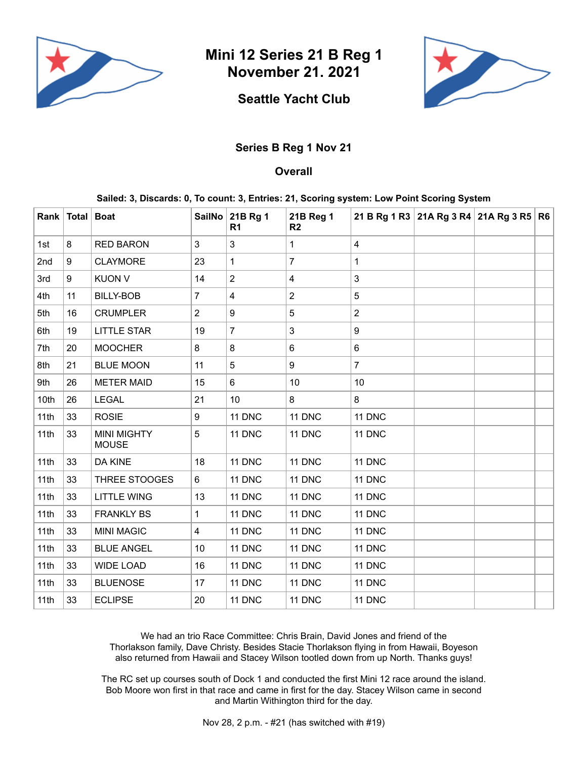

**Mini 12 Series 21 B Reg 1 November 21. 2021**



## **Seattle Yacht Club**

## **Series B Reg 1 Nov 21**

## **Overall**

## **Sailed: 3, Discards: 0, To count: 3, Entries: 21, Scoring system: Low Point Scoring System**

|      | Rank   Total   Boat |                                    |                | SailNo 21B Rg 1<br>R <sub>1</sub> | 21B Reg 1<br>R <sub>2</sub> |                         | 21 B Rg 1 R3 21A Rg 3 R4 21A Rg 3 R5 R6 |  |
|------|---------------------|------------------------------------|----------------|-----------------------------------|-----------------------------|-------------------------|-----------------------------------------|--|
| 1st  | 8                   | <b>RED BARON</b>                   | 3              | 3                                 | 1                           | $\overline{\mathbf{4}}$ |                                         |  |
| 2nd  | 9                   | <b>CLAYMORE</b>                    | 23             | 1                                 | 7                           | $\mathbf{1}$            |                                         |  |
| 3rd  | 9                   | <b>KUON V</b>                      | 14             | $\overline{2}$                    | 4                           | 3                       |                                         |  |
| 4th  | 11                  | <b>BILLY-BOB</b>                   | $\overline{7}$ | $\overline{\mathbf{4}}$           | $\overline{2}$              | 5                       |                                         |  |
| 5th  | 16                  | <b>CRUMPLER</b>                    | $\overline{2}$ | 9                                 | 5                           | $\overline{c}$          |                                         |  |
| 6th  | 19                  | <b>LITTLE STAR</b>                 | 19             | $\overline{7}$                    | 3                           | 9                       |                                         |  |
| 7th  | 20                  | <b>MOOCHER</b>                     | 8              | $\, 8$                            | 6                           | 6                       |                                         |  |
| 8th  | 21                  | <b>BLUE MOON</b>                   | 11             | $\overline{5}$                    | 9                           | $\overline{7}$          |                                         |  |
| 9th  | 26                  | <b>METER MAID</b>                  | 15             | $6\phantom{1}$                    | 10                          | 10                      |                                         |  |
| 10th | 26                  | <b>LEGAL</b>                       | 21             | 10                                | 8                           | 8                       |                                         |  |
| 11th | 33                  | <b>ROSIE</b>                       | 9              | 11 DNC                            | 11 DNC                      | 11 DNC                  |                                         |  |
| 11th | 33                  | <b>MINI MIGHTY</b><br><b>MOUSE</b> | 5              | 11 DNC                            | 11 DNC                      | 11 DNC                  |                                         |  |
| 11th | 33                  | DA KINE                            | 18             | 11 DNC                            | 11 DNC                      | 11 DNC                  |                                         |  |
| 11th | 33                  | THREE STOOGES                      | 6              | 11 DNC                            | 11 DNC                      | 11 DNC                  |                                         |  |
| 11th | 33                  | <b>LITTLE WING</b>                 | 13             | 11 DNC                            | 11 DNC                      | 11 DNC                  |                                         |  |
| 11th | 33                  | <b>FRANKLY BS</b>                  | 1              | 11 DNC                            | 11 DNC                      | 11 DNC                  |                                         |  |
| 11th | 33                  | <b>MINI MAGIC</b>                  | 4              | 11 DNC                            | 11 DNC                      | 11 DNC                  |                                         |  |
| 11th | 33                  | <b>BLUE ANGEL</b>                  | 10             | 11 DNC                            | 11 DNC                      | 11 DNC                  |                                         |  |
| 11th | 33                  | <b>WIDE LOAD</b>                   | 16             | 11 DNC                            | 11 DNC                      | 11 DNC                  |                                         |  |
| 11th | 33                  | <b>BLUENOSE</b>                    | 17             | 11 DNC                            | 11 DNC                      | 11 DNC                  |                                         |  |
| 11th | 33                  | <b>ECLIPSE</b>                     | 20             | 11 DNC                            | 11 DNC                      | 11 DNC                  |                                         |  |

We had an trio Race Committee: Chris Brain, David Jones and friend of the Thorlakson family, Dave Christy. Besides Stacie Thorlakson flying in from Hawaii, Boyeson also returned from Hawaii and Stacey Wilson tootled down from up North. Thanks guys!

The RC set up courses south of Dock 1 and conducted the first Mini 12 race around the island. Bob Moore won first in that race and came in first for the day. Stacey Wilson came in second and Martin Withington third for the day.